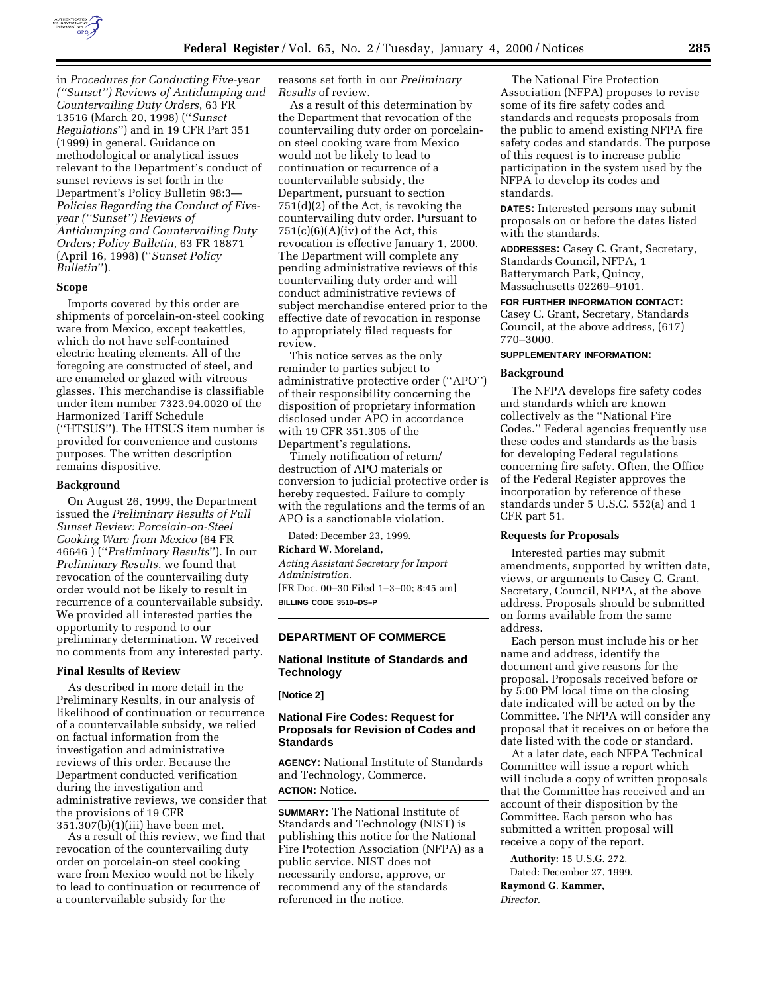

in *Procedures for Conducting Five-year (''Sunset'') Reviews of Antidumping and Countervailing Duty Orders*, 63 FR 13516 (March 20, 1998) (''*Sunset Regulations*'') and in 19 CFR Part 351 (1999) in general. Guidance on methodological or analytical issues relevant to the Department's conduct of sunset reviews is set forth in the Department's Policy Bulletin 98:3— *Policies Regarding the Conduct of Fiveyear (''Sunset'') Reviews of Antidumping and Countervailing Duty Orders; Policy Bulletin*, 63 FR 18871 (April 16, 1998) (''*Sunset Policy Bulletin*'').

### **Scope**

Imports covered by this order are shipments of porcelain-on-steel cooking ware from Mexico, except teakettles, which do not have self-contained electric heating elements. All of the foregoing are constructed of steel, and are enameled or glazed with vitreous glasses. This merchandise is classifiable under item number 7323.94.0020 of the Harmonized Tariff Schedule (''HTSUS''). The HTSUS item number is provided for convenience and customs purposes. The written description remains dispositive.

#### **Background**

On August 26, 1999, the Department issued the *Preliminary Results of Full Sunset Review: Porcelain-on-Steel Cooking Ware from Mexico* (64 FR 46646 ) (''*Preliminary Results*''). In our *Preliminary Results*, we found that revocation of the countervailing duty order would not be likely to result in recurrence of a countervailable subsidy. We provided all interested parties the opportunity to respond to our preliminary determination. W received no comments from any interested party.

#### **Final Results of Review**

As described in more detail in the Preliminary Results, in our analysis of likelihood of continuation or recurrence of a countervailable subsidy, we relied on factual information from the investigation and administrative reviews of this order. Because the Department conducted verification during the investigation and administrative reviews, we consider that the provisions of 19 CFR 351.307(b)(1)(iii) have been met.

As a result of this review, we find that revocation of the countervailing duty order on porcelain-on steel cooking ware from Mexico would not be likely to lead to continuation or recurrence of a countervailable subsidy for the

reasons set forth in our *Preliminary Results* of review.

As a result of this determination by the Department that revocation of the countervailing duty order on porcelainon steel cooking ware from Mexico would not be likely to lead to continuation or recurrence of a countervailable subsidy, the Department, pursuant to section 751(d)(2) of the Act, is revoking the countervailing duty order. Pursuant to  $751(c)(6)(A)(iv)$  of the Act, this revocation is effective January 1, 2000. The Department will complete any pending administrative reviews of this countervailing duty order and will conduct administrative reviews of subject merchandise entered prior to the effective date of revocation in response to appropriately filed requests for review.

This notice serves as the only reminder to parties subject to administrative protective order (''APO'') of their responsibility concerning the disposition of proprietary information disclosed under APO in accordance with 19 CFR 351.305 of the Department's regulations.

Timely notification of return/ destruction of APO materials or conversion to judicial protective order is hereby requested. Failure to comply with the regulations and the terms of an APO is a sanctionable violation.

Dated: December 23, 1999.

## **Richard W. Moreland,**

*Acting Assistant Secretary for Import Administration.* [FR Doc. 00–30 Filed 1–3–00; 8:45 am] **BILLING CODE 3510–DS–P**

**DEPARTMENT OF COMMERCE**

## **National Institute of Standards and Technology**

**[Notice 2]**

# **National Fire Codes: Request for Proposals for Revision of Codes and Standards**

**AGENCY:** National Institute of Standards and Technology, Commerce. **ACTION:** Notice.

**SUMMARY:** The National Institute of Standards and Technology (NIST) is publishing this notice for the National Fire Protection Association (NFPA) as a public service. NIST does not necessarily endorse, approve, or recommend any of the standards referenced in the notice.

The National Fire Protection Association (NFPA) proposes to revise some of its fire safety codes and standards and requests proposals from the public to amend existing NFPA fire safety codes and standards. The purpose of this request is to increase public participation in the system used by the NFPA to develop its codes and standards.

**DATES:** Interested persons may submit proposals on or before the dates listed with the standards.

**ADDRESSES:** Casey C. Grant, Secretary, Standards Council, NFPA, 1 Batterymarch Park, Quincy, Massachusetts 02269–9101.

**FOR FURTHER INFORMATION CONTACT:**

Casey C. Grant, Secretary, Standards Council, at the above address, (617) 770–3000.

### **SUPPLEMENTARY INFORMATION:**

### **Background**

The NFPA develops fire safety codes and standards which are known collectively as the ''National Fire Codes.'' Federal agencies frequently use these codes and standards as the basis for developing Federal regulations concerning fire safety. Often, the Office of the Federal Register approves the incorporation by reference of these standards under 5 U.S.C. 552(a) and 1 CFR part 51.

### **Requests for Proposals**

Interested parties may submit amendments, supported by written date, views, or arguments to Casey C. Grant, Secretary, Council, NFPA, at the above address. Proposals should be submitted on forms available from the same address.

Each person must include his or her name and address, identify the document and give reasons for the proposal. Proposals received before or by 5:00 PM local time on the closing date indicated will be acted on by the Committee. The NFPA will consider any proposal that it receives on or before the date listed with the code or standard.

At a later date, each NFPA Technical Committee will issue a report which will include a copy of written proposals that the Committee has received and an account of their disposition by the Committee. Each person who has submitted a written proposal will receive a copy of the report.

**Authority:** 15 U.S.G. 272.

Dated: December 27, 1999. **Raymond G. Kammer,**

*Director.*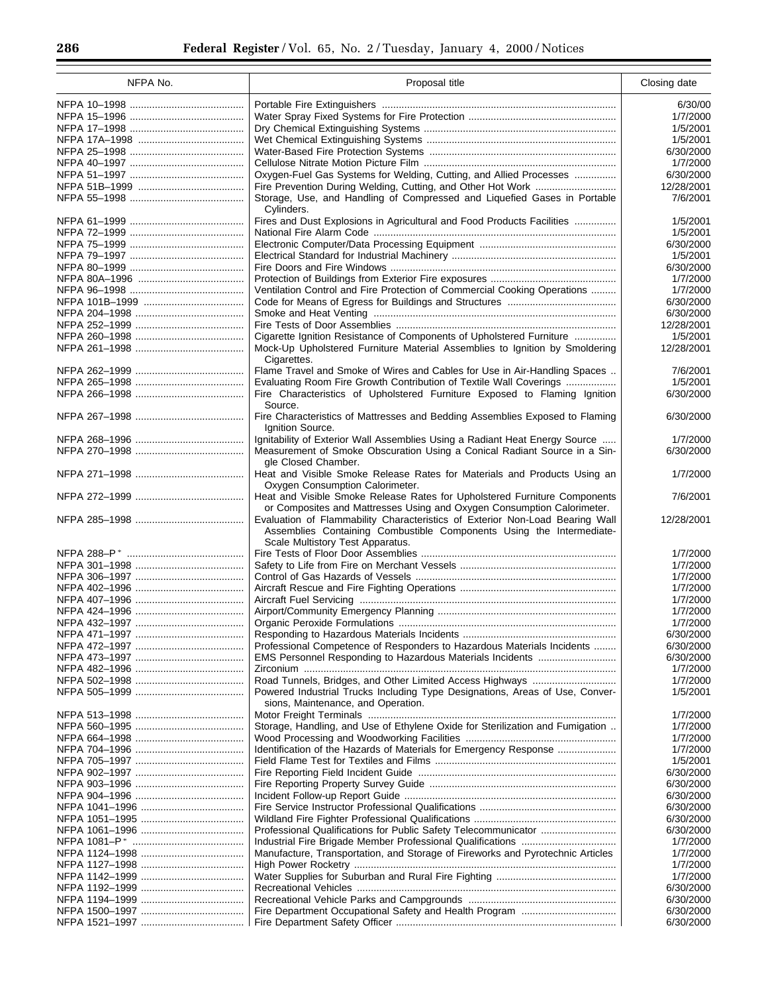| NFPA No. | Proposal title                                                                                                                                       | Closing date |
|----------|------------------------------------------------------------------------------------------------------------------------------------------------------|--------------|
|          |                                                                                                                                                      | 6/30/00      |
|          |                                                                                                                                                      | 1/7/2000     |
|          |                                                                                                                                                      | 1/5/2001     |
|          |                                                                                                                                                      | 1/5/2001     |
|          |                                                                                                                                                      | 6/30/2000    |
|          |                                                                                                                                                      | 1/7/2000     |
|          | Oxygen-Fuel Gas Systems for Welding, Cutting, and Allied Processes                                                                                   | 6/30/2000    |
|          |                                                                                                                                                      |              |
|          |                                                                                                                                                      | 12/28/2001   |
|          | Storage, Use, and Handling of Compressed and Liquefied Gases in Portable<br>Cylinders.                                                               | 7/6/2001     |
|          | Fires and Dust Explosions in Agricultural and Food Products Facilities                                                                               | 1/5/2001     |
|          |                                                                                                                                                      | 1/5/2001     |
|          |                                                                                                                                                      | 6/30/2000    |
|          |                                                                                                                                                      | 1/5/2001     |
|          |                                                                                                                                                      | 6/30/2000    |
|          |                                                                                                                                                      | 1/7/2000     |
|          | Ventilation Control and Fire Protection of Commercial Cooking Operations                                                                             | 1/7/2000     |
|          |                                                                                                                                                      | 6/30/2000    |
|          |                                                                                                                                                      | 6/30/2000    |
|          |                                                                                                                                                      | 12/28/2001   |
|          | Cigarette Ignition Resistance of Components of Upholstered Furniture                                                                                 | 1/5/2001     |
|          | Mock-Up Upholstered Furniture Material Assemblies to Ignition by Smoldering                                                                          | 12/28/2001   |
|          | Cigarettes.                                                                                                                                          |              |
|          | Flame Travel and Smoke of Wires and Cables for Use in Air-Handling Spaces                                                                            | 7/6/2001     |
|          | Evaluating Room Fire Growth Contribution of Textile Wall Coverings                                                                                   | 1/5/2001     |
|          | Fire Characteristics of Upholstered Furniture Exposed to Flaming Ignition                                                                            | 6/30/2000    |
|          | Source.                                                                                                                                              |              |
|          | Fire Characteristics of Mattresses and Bedding Assemblies Exposed to Flaming<br>Ignition Source.                                                     | 6/30/2000    |
|          | Ignitability of Exterior Wall Assemblies Using a Radiant Heat Energy Source                                                                          | 1/7/2000     |
|          | Measurement of Smoke Obscuration Using a Conical Radiant Source in a Sin-<br>gle Closed Chamber.                                                     | 6/30/2000    |
|          | Heat and Visible Smoke Release Rates for Materials and Products Using an<br>Oxygen Consumption Calorimeter.                                          | 1/7/2000     |
|          | Heat and Visible Smoke Release Rates for Upholstered Furniture Components<br>or Composites and Mattresses Using and Oxygen Consumption Calorimeter.  | 7/6/2001     |
|          | Evaluation of Flammability Characteristics of Exterior Non-Load Bearing Wall<br>Assemblies Containing Combustible Components Using the Intermediate- | 12/28/2001   |
|          | Scale Multistory Test Apparatus.                                                                                                                     |              |
|          |                                                                                                                                                      | 1/7/2000     |
|          |                                                                                                                                                      | 1/7/2000     |
|          |                                                                                                                                                      | 1/7/2000     |
|          |                                                                                                                                                      | 1/7/2000     |
|          |                                                                                                                                                      | 1/7/2000     |
|          |                                                                                                                                                      | 1/7/2000     |
|          |                                                                                                                                                      | 1/7/2000     |
|          |                                                                                                                                                      | 6/30/2000    |
|          | Professional Competence of Responders to Hazardous Materials Incidents                                                                               | 6/30/2000    |
|          | EMS Personnel Responding to Hazardous Materials Incidents                                                                                            | 6/30/2000    |
|          |                                                                                                                                                      | 1/7/2000     |
|          |                                                                                                                                                      | 1/7/2000     |
|          | Powered Industrial Trucks Including Type Designations, Areas of Use, Conver-<br>sions, Maintenance, and Operation.                                   | 1/5/2001     |
|          |                                                                                                                                                      | 1/7/2000     |
|          | Storage, Handling, and Use of Ethylene Oxide for Sterilization and Fumigation                                                                        | 1/7/2000     |
|          |                                                                                                                                                      | 1/7/2000     |
|          | Identification of the Hazards of Materials for Emergency Response                                                                                    | 1/7/2000     |
|          |                                                                                                                                                      | 1/5/2001     |
|          |                                                                                                                                                      | 6/30/2000    |
|          |                                                                                                                                                      | 6/30/2000    |
|          |                                                                                                                                                      | 6/30/2000    |
|          |                                                                                                                                                      | 6/30/2000    |
|          |                                                                                                                                                      | 6/30/2000    |
|          |                                                                                                                                                      | 6/30/2000    |
|          |                                                                                                                                                      |              |
|          | Manufacture, Transportation, and Storage of Fireworks and Pyrotechnic Articles                                                                       | 1/7/2000     |
|          |                                                                                                                                                      | 1/7/2000     |
|          |                                                                                                                                                      | 1/7/2000     |
|          |                                                                                                                                                      | 1/7/2000     |
|          |                                                                                                                                                      | 6/30/2000    |
|          |                                                                                                                                                      | 6/30/2000    |
|          |                                                                                                                                                      | 6/30/2000    |
|          |                                                                                                                                                      | 6/30/2000    |